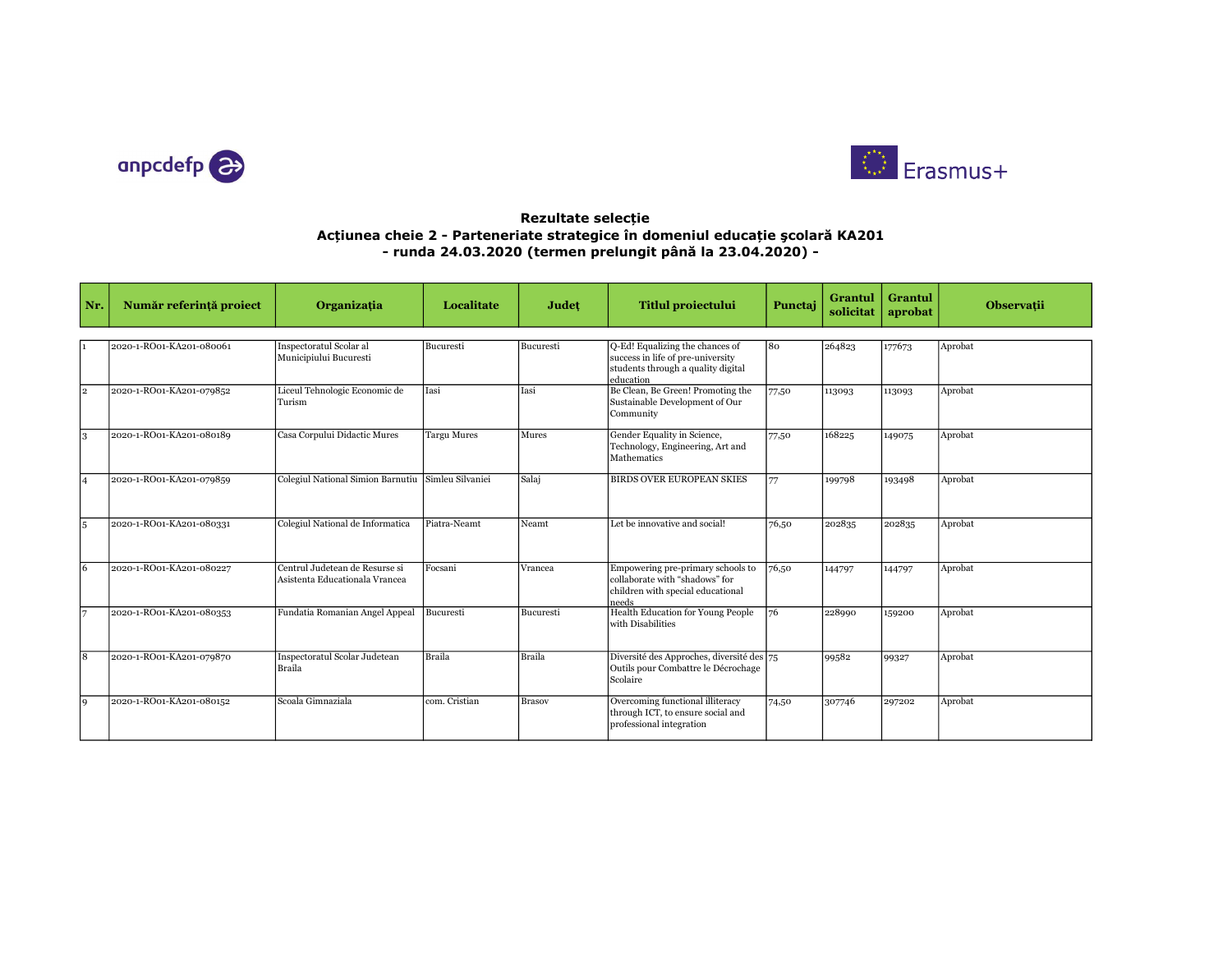



## Rezultate selecție Acțiunea cheie 2 - Parteneriate strategice în domeniul educație şcolară KA201 - runda 24.03.2020 (termen prelungit până la 23.04.2020) -

| Nr. | Număr referință proiect  | Organizația                                                      | Localitate         | Județ         | <b>Titlul proiectului</b>                                                                                               | Punctaj | Grantul<br>solicitat | Grantul<br>aprobat | <b>Observatii</b> |
|-----|--------------------------|------------------------------------------------------------------|--------------------|---------------|-------------------------------------------------------------------------------------------------------------------------|---------|----------------------|--------------------|-------------------|
|     |                          |                                                                  |                    |               |                                                                                                                         |         |                      |                    |                   |
|     | 2020-1-RO01-KA201-080061 | Inspectoratul Scolar al<br>Municipiului Bucuresti                | Bucuresti          | Bucuresti     | Q-Ed! Equalizing the chances of<br>success in life of pre-university<br>students through a quality digital<br>education | 80      | 264823               | 177673             | Aprobat           |
| l2. | 2020-1-RO01-KA201-079852 | Liceul Tehnologic Economic de<br>Turism                          | Iasi               | Iasi          | Be Clean, Be Green! Promoting the<br>Sustainable Development of Our<br>Community                                        | 77,50   | 113093               | 113093             | Aprobat           |
| l3  | 2020-1-RO01-KA201-080189 | Casa Corpului Didactic Mures                                     | <b>Targu Mures</b> | Mures         | Gender Equality in Science,<br>Technology, Engineering, Art and<br>Mathematics                                          | 77,50   | 168225               | 149075             | Aprobat           |
| 14  | 2020-1-RO01-KA201-079859 | Colegiul National Simion Barnutiu                                | Simleu Silvaniei   | Salaj         | <b>BIRDS OVER EUROPEAN SKIES</b>                                                                                        | 77      | 199798               | 193498             | Aprobat           |
| 15  | 2020-1-RO01-KA201-080331 | Colegiul National de Informatica                                 | Piatra-Neamt       | Neamt         | Let be innovative and social!                                                                                           | 76,50   | 202835               | 202835             | Aprobat           |
| 16  | 2020-1-RO01-KA201-080227 | Centrul Judetean de Resurse si<br>Asistenta Educationala Vrancea | Focsani            | Vrancea       | Empowering pre-primary schools to<br>collaborate with "shadows" for<br>children with special educational<br>needs       | 76,50   | 144797               | 144797             | Aprobat           |
| 17  | 2020-1-RO01-KA201-080353 | Fundatia Romanian Angel Appeal                                   | Bucuresti          | Bucuresti     | Health Education for Young People<br>with Disabilities                                                                  | 76      | 228990               | 159200             | Aprobat           |
| l8  | 2020-1-RO01-KA201-079870 | Inspectoratul Scolar Judetean<br>Braila                          | Braila             | Braila        | Diversité des Approches, diversité des 75<br>Outils pour Combattre le Décrochage<br>Scolaire                            |         | 99582                | 99327              | Aprobat           |
| 9   | 2020-1-RO01-KA201-080152 | Scoala Gimnaziala                                                | com. Cristian      | <b>Brasov</b> | Overcoming functional illiteracy<br>through ICT, to ensure social and<br>professional integration                       | 74,50   | 307746               | 297202             | Aprobat           |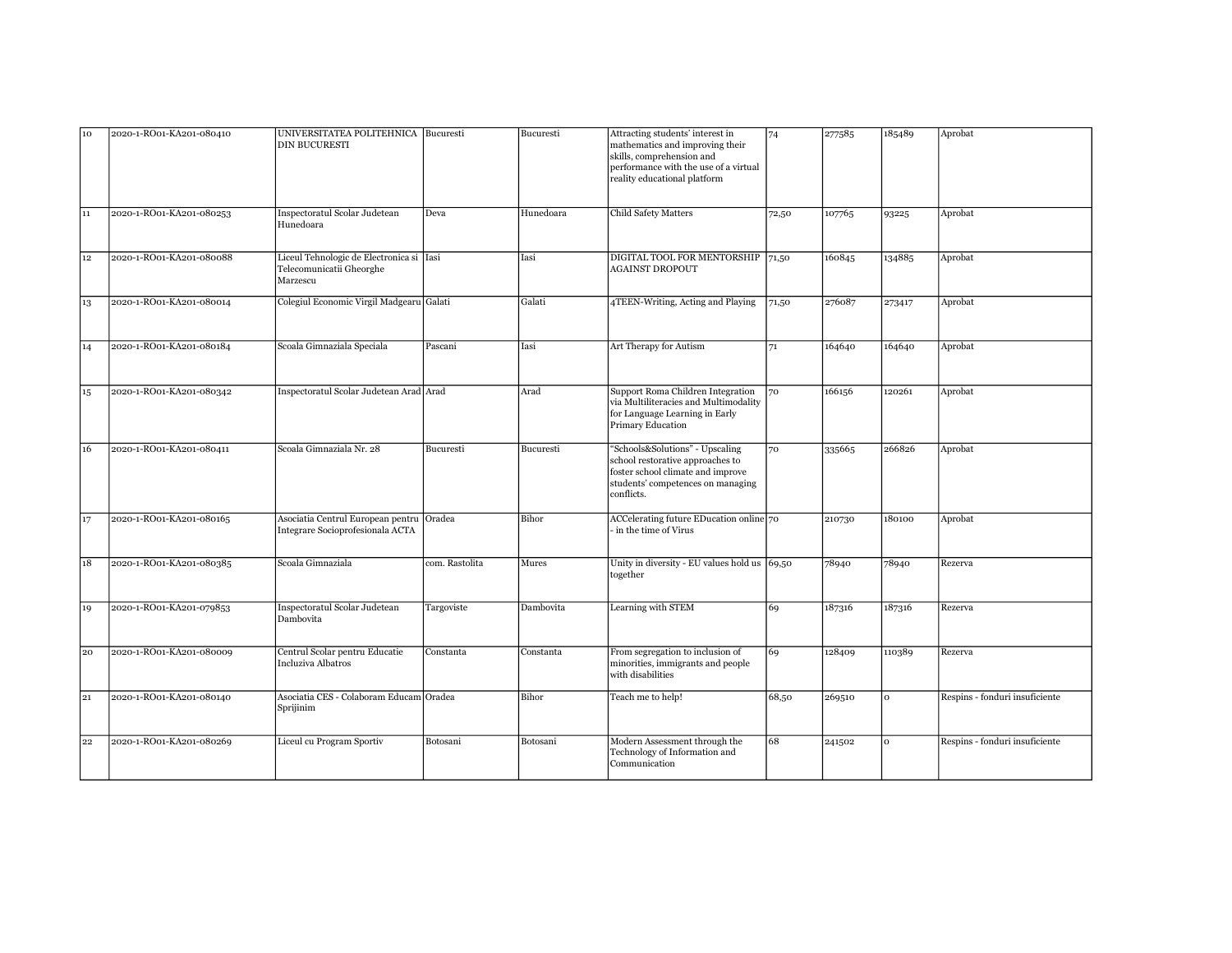| 10 | 2020-1-RO01-KA201-080410 | UNIVERSITATEA POLITEHNICA Bucuresti<br><b>DIN BUCURESTI</b>                      |                | Bucuresti | Attracting students' interest in<br>mathematics and improving their<br>skills, comprehension and<br>performance with the use of a virtual<br>reality educational platform | 74    | 277585 | 185489 | Aprobat                        |
|----|--------------------------|----------------------------------------------------------------------------------|----------------|-----------|---------------------------------------------------------------------------------------------------------------------------------------------------------------------------|-------|--------|--------|--------------------------------|
| 11 | 2020-1-RO01-KA201-080253 | Inspectoratul Scolar Judetean<br>Hunedoara                                       | Deva           | Hunedoara | <b>Child Safety Matters</b>                                                                                                                                               | 72,50 | 107765 | 93225  | Aprobat                        |
| 12 | 2020-1-RO01-KA201-080088 | Liceul Tehnologic de Electronica si Iasi<br>Telecomunicatii Gheorghe<br>Marzescu |                | Iasi      | DIGITAL TOOL FOR MENTORSHIP 71,50<br><b>AGAINST DROPOUT</b>                                                                                                               |       | 160845 | 134885 | Aprobat                        |
| 13 | 2020-1-RO01-KA201-080014 | Colegiul Economic Virgil Madgearu Galati                                         |                | Galati    | 4TEEN-Writing, Acting and Playing                                                                                                                                         | 71,50 | 276087 | 273417 | Aprobat                        |
| 14 | 2020-1-RO01-KA201-080184 | Scoala Gimnaziala Speciala                                                       | Pascani        | Iasi      | Art Therapy for Autism                                                                                                                                                    | 71    | 164640 | 164640 | Aprobat                        |
| 15 | 2020-1-RO01-KA201-080342 | Inspectoratul Scolar Judetean Arad Arad                                          |                | Arad      | Support Roma Children Integration<br>via Multiliteracies and Multimodality<br>for Language Learning in Early<br>Primary Education                                         | 70    | 166156 | 120261 | Aprobat                        |
| 16 | 2020-1-RO01-KA201-080411 | Scoala Gimnaziala Nr. 28                                                         | Bucuresti      | Bucuresti | "Schools&Solutions" - Upscaling<br>school restorative approaches to<br>foster school climate and improve<br>students' competences on managing<br>conflicts.               | 70    | 335665 | 266826 | Aprobat                        |
| 17 | 2020-1-RO01-KA201-080165 | Asociatia Centrul European pentru<br>Integrare Socioprofesionala ACTA            | Oradea         | Bihor     | ACCelerating future EDucation online 70<br>in the time of Virus                                                                                                           |       | 210730 | 180100 | Aprobat                        |
| 18 | 2020-1-RO01-KA201-080385 | Scoala Gimnaziala                                                                | com. Rastolita | Mures     | Unity in diversity - EU values hold us $\left  69,50 \right\rangle$<br>together                                                                                           |       | 78940  | 78940  | Rezerva                        |
| 19 | 2020-1-RO01-KA201-079853 | Inspectoratul Scolar Judetean<br>Dambovita                                       | Targoviste     | Dambovita | Learning with STEM                                                                                                                                                        | 69    | 187316 | 187316 | Rezerva                        |
| 20 | 2020-1-RO01-KA201-080009 | Centrul Scolar pentru Educatie<br>Incluziva Albatros                             | Constanta      | Constanta | From segregation to inclusion of<br>minorities, immigrants and people<br>with disabilities                                                                                | 69    | 128409 | 110389 | Rezerva                        |
| 21 | 2020-1-RO01-KA201-080140 | Asociatia CES - Colaboram Educam Oradea<br>Sprijinim                             |                | Bihor     | Teach me to help!                                                                                                                                                         | 68,50 | 269510 | l o    | Respins - fonduri insuficiente |
| 22 | 2020-1-RO01-KA201-080269 | Liceul cu Program Sportiv                                                        | Botosani       | Botosani  | Modern Assessment through the<br>Technology of Information and<br>Communication                                                                                           | 68    | 241502 | lо     | Respins - fonduri insuficiente |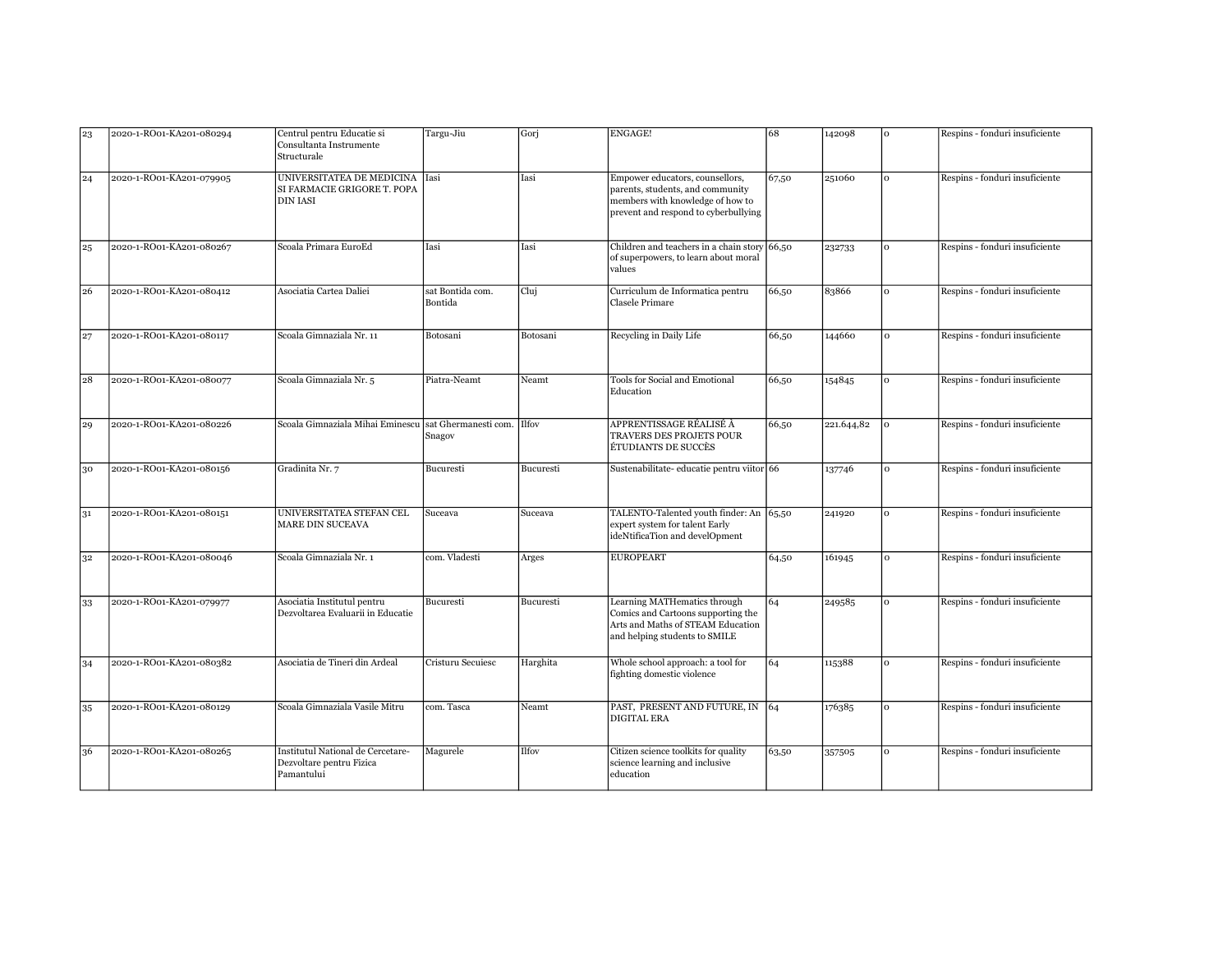| 23 | 2020-1-RO01-KA201-080294 | Centrul pentru Educatie si<br>Consultanta Instrumente<br>Structurale        | Targu-Jiu                   | Gorj         | <b>ENGAGE!</b>                                                                                                                                  | 68    | 142098     | lo. | Respins - fonduri insuficiente |
|----|--------------------------|-----------------------------------------------------------------------------|-----------------------------|--------------|-------------------------------------------------------------------------------------------------------------------------------------------------|-------|------------|-----|--------------------------------|
| 24 | 2020-1-RO01-KA201-079905 | UNIVERSITATEA DE MEDICINA<br>SI FARMACIE GRIGORE T. POPA<br><b>DIN IASI</b> | Iasi                        | Iasi         | Empower educators, counsellors,<br>parents, students, and community<br>members with knowledge of how to<br>prevent and respond to cyberbullying | 67,50 | 251060     | lo. | Respins - fonduri insuficiente |
| 25 | 2020-1-RO01-KA201-080267 | Scoala Primara EuroEd                                                       | Iasi                        | Iasi         | Children and teachers in a chain story 66,50<br>of superpowers, to learn about moral<br>values                                                  |       | 232733     | lo  | Respins - fonduri insuficiente |
| 26 | 2020-1-RO01-KA201-080412 | Asociatia Cartea Daliei                                                     | sat Bontida com.<br>Bontida | Clui         | Curriculum de Informatica pentru<br>Clasele Primare                                                                                             | 66,50 | 83866      | lo  | Respins - fonduri insuficiente |
| 27 | 2020-1-RO01-KA201-080117 | Scoala Gimnaziala Nr. 11                                                    | Botosani                    | Botosani     | Recycling in Daily Life                                                                                                                         | 66,50 | 144660     | l o | Respins - fonduri insuficiente |
| 28 | 2020-1-RO01-KA201-080077 | Scoala Gimnaziala Nr. 5                                                     | Piatra-Neamt                | Neamt        | Tools for Social and Emotional<br>Education                                                                                                     | 66,50 | 154845     | lo  | Respins - fonduri insuficiente |
| 29 | 2020-1-RO01-KA201-080226 | Scoala Gimnaziala Mihai Eminescu sat Ghermanesti com. Ilfov                 | Snagov                      |              | APPRENTISSAGE RÉALISÉ À<br>TRAVERS DES PROJETS POUR<br>ÉTUDIANTS DE SUCCÈS                                                                      | 66,50 | 221.644,82 | lo  | Respins - fonduri insuficiente |
| 30 | 2020-1-RO01-KA201-080156 | Gradinita Nr. 7                                                             | Bucuresti                   | Bucuresti    | Sustenabilitate-educatie pentru viitor 66                                                                                                       |       | 137746     | l o | Respins - fonduri insuficiente |
| 31 | 2020-1-RO01-KA201-080151 | UNIVERSITATEA STEFAN CEL<br>MARE DIN SUCEAVA                                | Suceava                     | Suceava      | TALENTO-Talented youth finder: An 65,50<br>expert system for talent Early<br>ideNtificaTion and develOpment                                     |       | 241920     | lо  | Respins - fonduri insuficiente |
| 32 | 2020-1-RO01-KA201-080046 | Scoala Gimnaziala Nr. 1                                                     | com. Vladesti               | Arges        | <b>EUROPEART</b>                                                                                                                                | 64,50 | 161945     | l o | Respins - fonduri insuficiente |
| 33 | 2020-1-RO01-KA201-079977 | Asociatia Institutul pentru<br>Dezvoltarea Evaluarii in Educatie            | Bucuresti                   | Bucuresti    | Learning MATHematics through<br>Comics and Cartoons supporting the<br>Arts and Maths of STEAM Education<br>and helping students to SMILE        | 64    | 249585     | lo  | Respins - fonduri insuficiente |
| 34 | 2020-1-RO01-KA201-080382 | Asociatia de Tineri din Ardeal                                              | Cristuru Secuiesc           | Harghita     | Whole school approach: a tool for<br>fighting domestic violence                                                                                 | 64    | 115388     | lo  | Respins - fonduri insuficiente |
| 35 | 2020-1-RO01-KA201-080129 | Scoala Gimnaziala Vasile Mitru                                              | com. Tasca                  | Neamt        | PAST, PRESENT AND FUTURE, IN 64<br><b>DIGITAL ERA</b>                                                                                           |       | 176385     | lо  | Respins - fonduri insuficiente |
| 36 | 2020-1-RO01-KA201-080265 | Institutul National de Cercetare-<br>Dezvoltare pentru Fizica<br>Pamantului | Magurele                    | <b>Ilfov</b> | Citizen science toolkits for quality<br>science learning and inclusive<br>education                                                             | 63,50 | 357505     | lo. | Respins - fonduri insuficiente |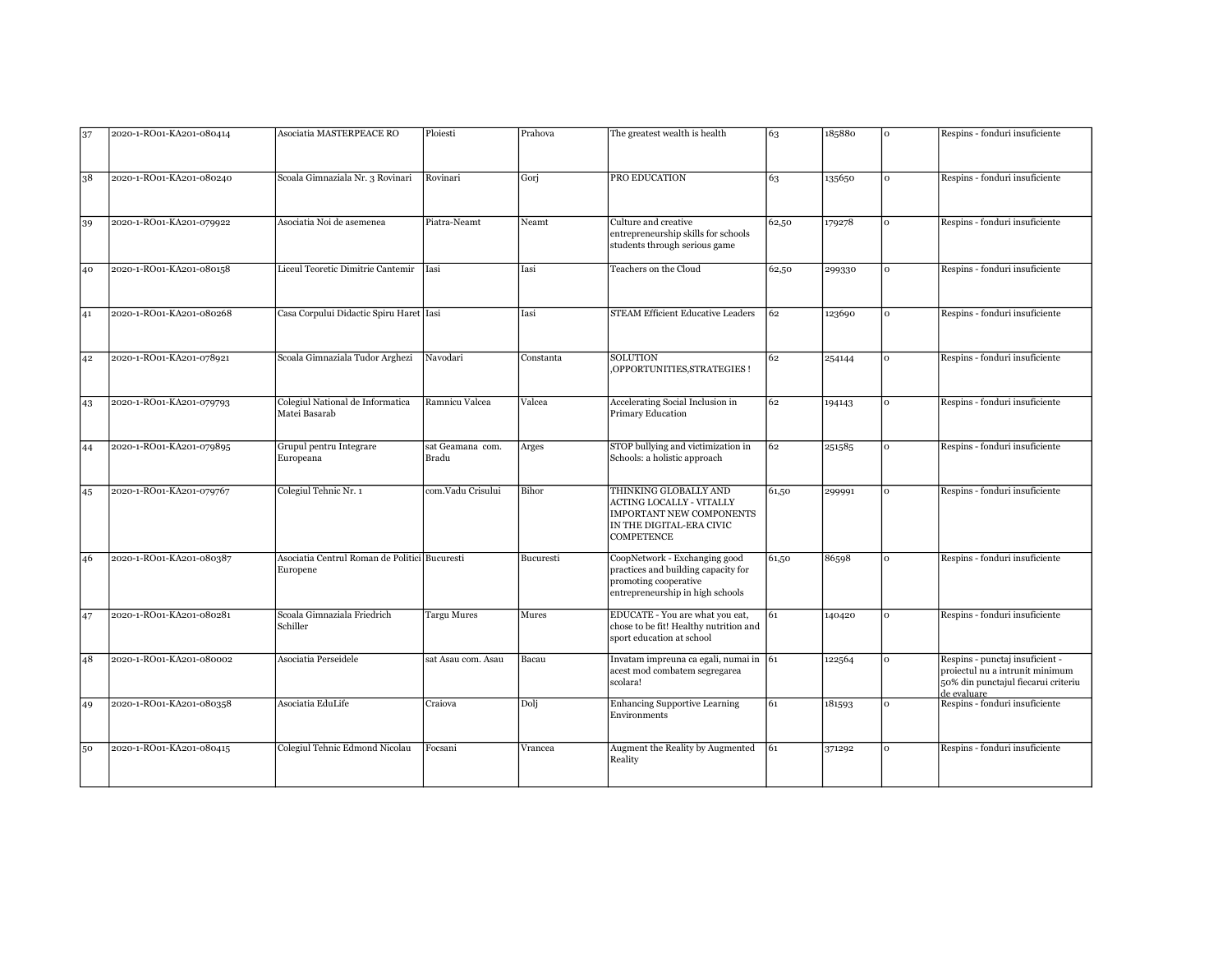| 37 | 2020-1-RO01-KA201-080414 | Asociatia MASTERPEACE RO                                  | Ploiesti                  | Prahova   | The greatest wealth is health                                                                                                                | 63    | 185880 | l o      | Respins - fonduri insuficiente                                                                                           |
|----|--------------------------|-----------------------------------------------------------|---------------------------|-----------|----------------------------------------------------------------------------------------------------------------------------------------------|-------|--------|----------|--------------------------------------------------------------------------------------------------------------------------|
|    |                          |                                                           |                           |           |                                                                                                                                              |       |        |          |                                                                                                                          |
|    |                          |                                                           | Rovinari                  |           | PRO EDUCATION                                                                                                                                |       |        | l o      |                                                                                                                          |
| 38 | 2020-1-RO01-KA201-080240 | Scoala Gimnaziala Nr. 3 Rovinari                          |                           | Gorj      |                                                                                                                                              | 63    | 135650 |          | Respins - fonduri insuficiente                                                                                           |
| 39 | 2020-1-RO01-KA201-079922 | Asociatia Noi de asemenea                                 | Piatra-Neamt              | Neamt     | Culture and creative<br>entrepreneurship skills for schools<br>students through serious game                                                 | 62,50 | 179278 | lo       | Respins - fonduri insuficiente                                                                                           |
| 40 | 2020-1-RO01-KA201-080158 | Liceul Teoretic Dimitrie Cantemir                         | lIasi                     | Iasi      | Teachers on the Cloud                                                                                                                        | 62,50 | 299330 | l o      | Respins - fonduri insuficiente                                                                                           |
| 41 | 2020-1-RO01-KA201-080268 | Casa Corpului Didactic Spiru Haret Iasi                   |                           | Iasi      | <b>STEAM Efficient Educative Leaders</b>                                                                                                     | 62    | 123690 | l o      | Respins - fonduri insuficiente                                                                                           |
| 42 | 2020-1-RO01-KA201-078921 | Scoala Gimnaziala Tudor Arghezi                           | Navodari                  | Constanta | SOLUTION<br>OPPORTUNITIES, STRATEGIES !                                                                                                      | 62    | 254144 | lo       | Respins - fonduri insuficiente                                                                                           |
| 43 | 2020-1-RO01-KA201-079793 | Colegiul National de Informatica<br>Matei Basarab         | Ramnicu Valcea            | Valcea    | Accelerating Social Inclusion in<br>Primary Education                                                                                        | 62    | 194143 | lo.      | Respins - fonduri insuficiente                                                                                           |
| 44 | 2020-1-RO01-KA201-079895 | Grupul pentru Integrare<br>Europeana                      | sat Geamana com.<br>Bradu | Arges     | STOP bullying and victimization in<br>Schools: a holistic approach                                                                           | 62    | 251585 | $\Omega$ | Respins - fonduri insuficiente                                                                                           |
| 45 | 2020-1-RO01-KA201-079767 | Colegiul Tehnic Nr. 1                                     | com.Vadu Crisului         | Bihor     | THINKING GLOBALLY AND<br><b>ACTING LOCALLY - VITALLY</b><br><b>IMPORTANT NEW COMPONENTS</b><br>IN THE DIGITAL-ERA CIVIC<br><b>COMPETENCE</b> | 61,50 | 299991 | I٥       | Respins - fonduri insuficiente                                                                                           |
| 46 | 2020-1-RO01-KA201-080387 | Asociatia Centrul Roman de Politici Bucuresti<br>Europene |                           | Bucuresti | CoopNetwork - Exchanging good<br>practices and building capacity for<br>promoting cooperative<br>entrepreneurship in high schools            | 61,50 | 86598  | lo       | Respins - fonduri insuficiente                                                                                           |
| 47 | 2020-1-RO01-KA201-080281 | Scoala Gimnaziala Friedrich<br>Schiller                   | <b>Targu Mures</b>        | Mures     | EDUCATE - You are what you eat,<br>chose to be fit! Healthy nutrition and<br>sport education at school                                       | 61    | 140420 | lo       | Respins - fonduri insuficiente                                                                                           |
| 48 | 2020-1-RO01-KA201-080002 | Asociatia Perseidele                                      | sat Asau com. Asau        | Bacau     | Invatam impreuna ca egali, numai in $\vert$ 61<br>acest mod combatem segregarea<br>scolara!                                                  |       | 122564 | lo       | Respins - punctaj insuficient -<br>proiectul nu a intrunit minimum<br>50% din punctajul fiecarui criteriu<br>de evaluare |
| 49 | 2020-1-RO01-KA201-080358 | Asociatia EduLife                                         | Craiova                   | Dolj      | <b>Enhancing Supportive Learning</b><br>Environments                                                                                         | 61    | 181593 | lo       | Respins - fonduri insuficiente                                                                                           |
| 50 | 2020-1-RO01-KA201-080415 | Colegiul Tehnic Edmond Nicolau                            | Focsani                   | Vrancea   | Augment the Reality by Augmented<br>Reality                                                                                                  | 61    | 371292 | lo       | Respins - fonduri insuficiente                                                                                           |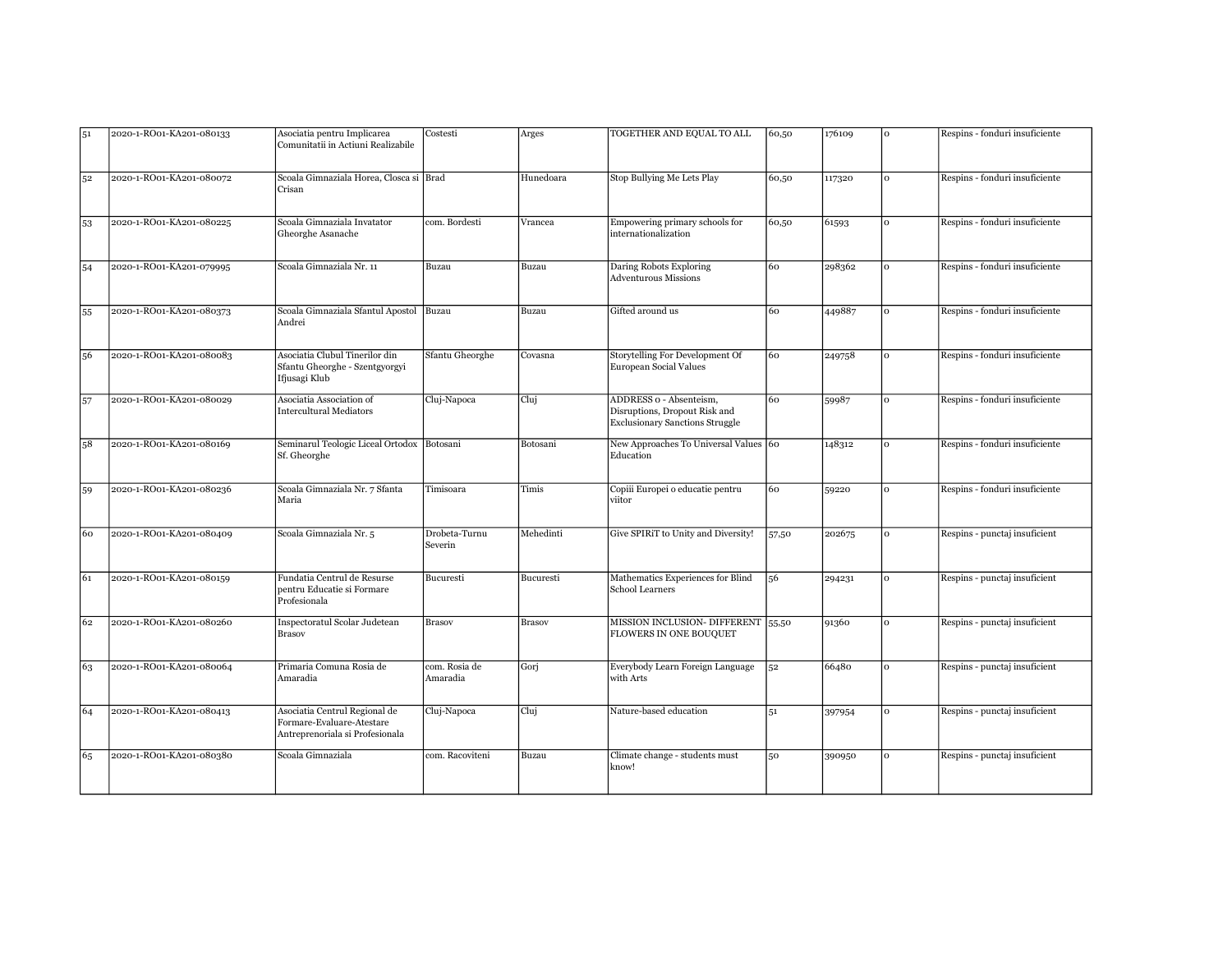| 51 | 2020-1-RO01-KA201-080133 | Asociatia pentru Implicarea<br>Comunitatii in Actiuni Realizabile                             | Costesti                  | Arges         | TOGETHER AND EQUAL TO ALL                                                                          | 60,50 | 176109 | lo  | Respins - fonduri insuficiente |
|----|--------------------------|-----------------------------------------------------------------------------------------------|---------------------------|---------------|----------------------------------------------------------------------------------------------------|-------|--------|-----|--------------------------------|
| 52 | 2020-1-RO01-KA201-080072 | Scoala Gimnaziala Horea, Closca si Brad<br>Crisan                                             |                           | Hunedoara     | Stop Bullying Me Lets Play                                                                         | 60,50 | 117320 | lo. | Respins - fonduri insuficiente |
| 53 | 2020-1-RO01-KA201-080225 | Scoala Gimnaziala Invatator<br>Gheorghe Asanache                                              | com. Bordesti             | Vrancea       | Empowering primary schools for<br>internationalization                                             | 60,50 | 61593  | I٥  | Respins - fonduri insuficiente |
| 54 | 2020-1-RO01-KA201-079995 | Scoala Gimnaziala Nr. 11                                                                      | Buzau                     | Buzau         | Daring Robots Exploring<br><b>Adventurous Missions</b>                                             | 60    | 298362 | lo  | Respins - fonduri insuficiente |
| 55 | 2020-1-RO01-KA201-080373 | Scoala Gimnaziala Sfantul Apostol Buzau<br>Andrei                                             |                           | Buzau         | Gifted around us                                                                                   | 60    | 449887 | lo  | Respins - fonduri insuficiente |
| 56 | 2020-1-RO01-KA201-080083 | Asociatia Clubul Tinerilor din<br>Sfantu Gheorghe - Szentgyorgyi<br>Ifjusagi Klub             | Sfantu Gheorghe           | Covasna       | Storytelling For Development Of<br>European Social Values                                          | 60    | 249758 | lo  | Respins - fonduri insuficiente |
| 57 | 2020-1-RO01-KA201-080029 | Asociatia Association of<br>Intercultural Mediators                                           | Cluj-Napoca               | Cluj          | ADDRESS o - Absenteism,<br>Disruptions, Dropout Risk and<br><b>Exclusionary Sanctions Struggle</b> | 60    | 59987  | lo  | Respins - fonduri insuficiente |
| 58 | 2020-1-RO01-KA201-080169 | Seminarul Teologic Liceal Ortodox Botosani<br>Sf. Gheorghe                                    |                           | Botosani      | New Approaches To Universal Values 60<br>Education                                                 |       | 148312 | lo  | Respins - fonduri insuficiente |
| 59 | 2020-1-RO01-KA201-080236 | Scoala Gimnaziala Nr. 7 Sfanta<br>Maria                                                       | Timisoara                 | Timis         | Copiii Europei o educatie pentru<br>viitor                                                         | 60    | 59220  | lo  | Respins - fonduri insuficiente |
| 60 | 2020-1-RO01-KA201-080409 | Scoala Gimnaziala Nr. 5                                                                       | Drobeta-Turnu<br>Severin  | Mehedinti     | Give SPIRiT to Unity and Diversity!                                                                | 57,50 | 202675 | lo. | Respins - punctaj insuficient  |
| 61 | 2020-1-RO01-KA201-080159 | Fundatia Centrul de Resurse<br>pentru Educatie si Formare<br>Profesionala                     | Bucuresti                 | Bucuresti     | Mathematics Experiences for Blind<br>School Learners                                               | 56    | 294231 | lo  | Respins - punctaj insuficient  |
| 62 | 2020-1-RO01-KA201-080260 | Inspectoratul Scolar Judetean<br><b>Brasov</b>                                                | <b>Brasov</b>             | <b>Brasov</b> | MISSION INCLUSION- DIFFERENT 55,50<br>FLOWERS IN ONE BOUQUET                                       |       | 91360  | lo  | Respins - punctaj insuficient  |
| 63 | 2020-1-RO01-KA201-080064 | Primaria Comuna Rosia de<br>Amaradia                                                          | com. Rosia de<br>Amaradia | Gori          | Everybody Learn Foreign Language<br>with Arts                                                      | 52    | 66480  | lo  | Respins - punctaj insuficient  |
| 64 | 2020-1-RO01-KA201-080413 | Asociatia Centrul Regional de<br>Formare-Evaluare-Atestare<br>Antreprenoriala si Profesionala | Cluj-Napoca               | Cluj          | Nature-based education                                                                             | 51    | 397954 | l o | Respins - punctaj insuficient  |
| 65 | 2020-1-RO01-KA201-080380 | Scoala Gimnaziala                                                                             | com. Racoviteni           | Buzau         | Climate change - students must<br>know!                                                            | 50    | 390950 | lo  | Respins - punctaj insuficient  |